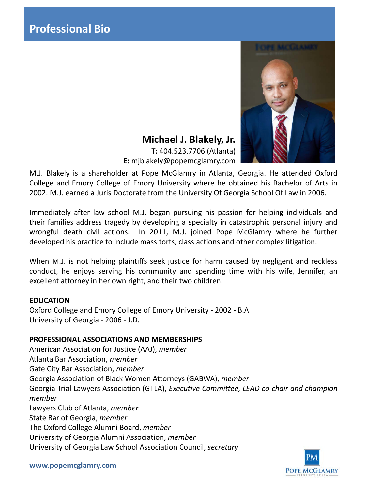

# **Michael J. Blakely, Jr.**

**T:** 404.523.7706 (Atlanta) **E:** mjblakely@popemcglamry.com

M.J. Blakely is a shareholder at Pope McGlamry in Atlanta, Georgia. He attended Oxford College and Emory College of Emory University where he obtained his Bachelor of Arts in 2002. M.J. earned a Juris Doctorate from the University Of Georgia School Of Law in 2006.

Immediately after law school M.J. began pursuing his passion for helping individuals and their families address tragedy by developing a specialty in catastrophic personal injury and wrongful death civil actions. In 2011, M.J. joined Pope McGlamry where he further developed his practice to include mass torts, class actions and other complex litigation.

When M.J. is not helping plaintiffs seek justice for harm caused by negligent and reckless conduct, he enjoys serving his community and spending time with his wife, Jennifer, an excellent attorney in her own right, and their two children.

## **EDUCATION**

Oxford College and Emory College of Emory University - 2002 - B.A University of Georgia - 2006 - J.D.

## **PROFESSIONAL ASSOCIATIONS AND MEMBERSHIPS**

American Association for Justice (AAJ), *member* Atlanta Bar Association, *member* Gate City Bar Association, *member* Georgia Association of Black Women Attorneys (GABWA), *member* Georgia Trial Lawyers Association (GTLA), *Executive Committee, LEAD co-chair and champion member* Lawyers Club of Atlanta, *member* State Bar of Georgia, *member* The Oxford College Alumni Board, *member* University of Georgia Alumni Association, *member* University of Georgia Law School Association Council, *secretary*